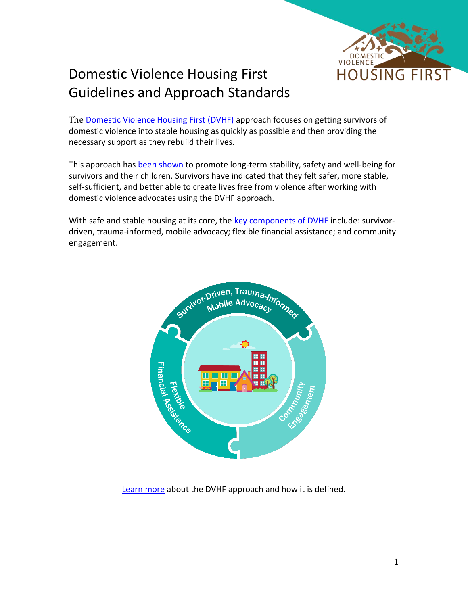

## Domestic Violence Housing First Guidelines and Approach Standards

The [Domestic Violence Housing First \(DVHF\)](https://wscadv.org/projects/domestic-violence-housing-first/) approach focuses on getting survivors of domestic violence into stable housing as quickly as possible and then providing the necessary support as they rebuild their lives.

This approach has [been shown](https://wscadv.org/projects/domestic-violence-housing-first/current-research/) to promote long-term stability, safety and well-being for survivors and their children. Survivors have indicated that they felt safer, more stable, self-sufficient, and better able to create lives free from violence after working with domestic violence advocates using the DVHF approach.

With safe and stable housing at its core, the [key components of DVHF](https://wscadv.org/resources/domestic-violence-housing-first-definitions/) include: survivordriven, trauma-informed, mobile advocacy; flexible financial assistance; and community engagement.



[Learn more](https://wscadv.org/resources/domestic-violence-housing-first-definitions/) about the DVHF approach and how it is defined.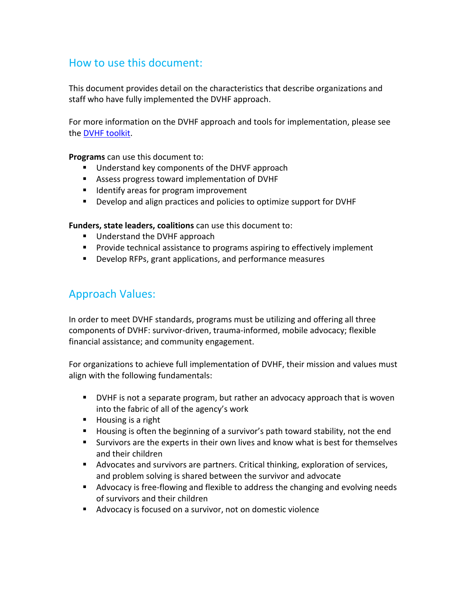## How to use this document:

This document provides detail on the characteristics that describe organizations and staff who have fully implemented the DVHF approach.

For more information on the DVHF approach and tools for implementation, please see the [DVHF toolkit.](https://wscadv.org/projects/domestic-violence-housing-first/toolkit/)

**Programs** can use this document to:

- Understand key components of the DHVF approach
- Assess progress toward implementation of DVHF
- Identify areas for program improvement
- Develop and align practices and policies to optimize support for DVHF

**Funders, state leaders, coalitions** can use this document to:

- Understand the DVHF approach
- Provide technical assistance to programs aspiring to effectively implement
- Develop RFPs, grant applications, and performance measures

## Approach Values:

In order to meet DVHF standards, programs must be utilizing and offering all three components of DVHF: survivor-driven, trauma-informed, mobile advocacy; flexible financial assistance; and community engagement.

For organizations to achieve full implementation of DVHF, their mission and values must align with the following fundamentals:

- **•** DVHF is not a separate program, but rather an advocacy approach that is woven into the fabric of all of the agency's work
- Housing is a right
- Housing is often the beginning of a survivor's path toward stability, not the end
- Survivors are the experts in their own lives and know what is best for themselves and their children
- Advocates and survivors are partners. Critical thinking, exploration of services, and problem solving is shared between the survivor and advocate
- Advocacy is free-flowing and flexible to address the changing and evolving needs of survivors and their children
- Advocacy is focused on a survivor, not on domestic violence